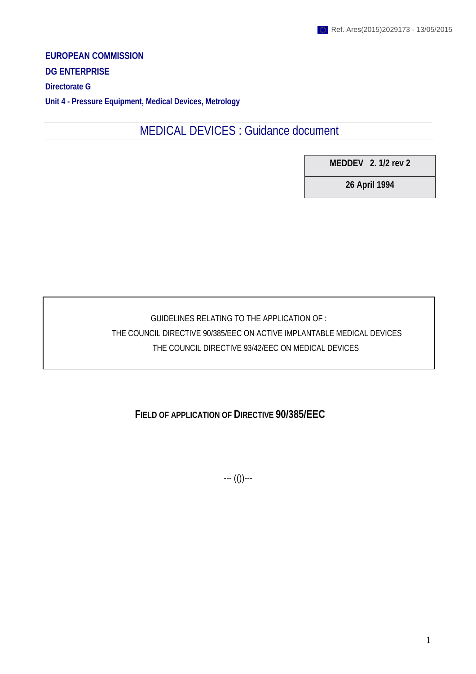**EUROPEAN COMMISSION DG ENTERPRISE Directorate G**

**Unit 4 - Pressure Equipment, Medical Devices, Metrology**

MEDICAL DEVICES : Guidance document

**MEDDEV 2. 1/2 rev 2**

**26 April 1994**

GUIDELINES RELATING TO THE APPLICATION OF :

THE COUNCIL DIRECTIVE 90/385/EEC ON ACTIVE IMPLANTABLE MEDICAL DEVICES

THE COUNCIL DIRECTIVE 93/42/EEC ON MEDICAL DEVICES

## **FIELD OF APPLICATION OF DIRECTIVE 90/385/EEC**

--- (())---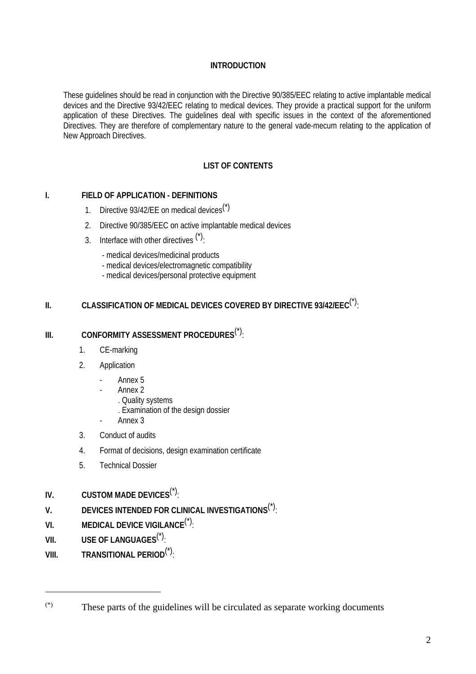## **INTRODUCTION**

These guidelines should be read in conjunction with the Directive 90/385/EEC relating to active implantable medical devices and the Directive 93/42/EEC relating to medical devices. They provide a practical support for the uniform application of these Directives. The guidelines deal with specific issues in the context of the aforementioned Directives. They are therefore of complementary nature to the general vade-mecum relating to the application of New Approach Directives.

## **LIST OF CONTENTS**

## **I. FIELD OF APPLICATION - DEFINITIONS**

- 1. Directive 93/42/EE on medical devices<sup>(\*)</sup>
- 2. Directive 90/385/EEC on active implantable medical devices
- 3. Interface with other directives  $(2)$ .
	- medical devices/medicinal products
	- medical devices/electromagnetic compatibility
	- medical devices/personal protective equipment

# **II. CLASSIFICATION OF MEDICAL DEVICES COVERED BY DIRECTIVE 93/42/EEC<sup>(\*)</sup>:**

## **III. CONFORMITY ASSESSMENT PROCEDURES**(\*):

- 1. CE-marking
- 2. Application
	- Annex 5
	- Annex 2
		- . Quality systems
		- . Examination of the design dossier
	- Annex 3
- 3. Conduct of audits
- 4. Format of decisions, design examination certificate
- 5. Technical Dossier
- **IV. CUSTOM MADE DEVICES**(\*):
- **V. DEVICES INTENDED FOR CLINICAL INVESTIGATIONS**(\*):
- **VI. MEDICAL DEVICE VIGILANCE**(\*):
- **VII. USE OF LANGUAGES**(\*):

 $\overline{a}$ 

**VIII. TRANSITIONAL PERIOD**(\*):

<sup>(\*)</sup> These parts of the guidelines will be circulated as separate working documents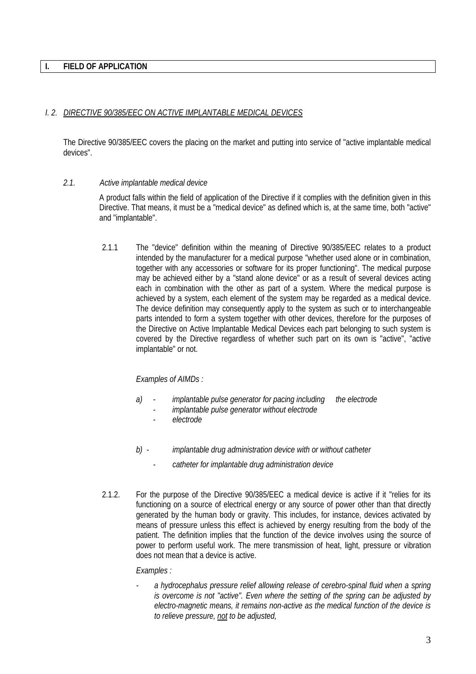#### **I. FIELD OF APPLICATION**

#### *I. 2. DIRECTIVE 90/385/EEC ON ACTIVE IMPLANTABLE MEDICAL DEVICES*

The Directive 90/385/EEC covers the placing on the market and putting into service of "active implantable medical devices".

#### *2.1. Active implantable medical device*

A product falls within the field of application of the Directive if it complies with the definition given in this Directive. That means, it must be a "medical device" as defined which is, at the same time, both "active" and "implantable".

2.1.1 The "device" definition within the meaning of Directive 90/385/EEC relates to a product intended by the manufacturer for a medical purpose "whether used alone or in combination, together with any accessories or software for its proper functioning". The medical purpose may be achieved either by a "stand alone device" or as a result of several devices acting each in combination with the other as part of a system. Where the medical purpose is achieved by a system, each element of the system may be regarded as a medical device. The device definition may consequently apply to the system as such or to interchangeable parts intended to form a system together with other devices, therefore for the purposes of the Directive on Active Implantable Medical Devices each part belonging to such system is covered by the Directive regardless of whether such part on its own is "active", "active implantable" or not.

#### *Examples of AIMDs :*

- *a) implantable pulse generator for pacing including the electrode*
	- *implantable pulse generator without electrode*
	- *electrode*
- *b) implantable drug administration device with or without catheter*
	- *catheter for implantable drug administration device*
- 2.1.2. For the purpose of the Directive 90/385/EEC a medical device is active if it "relies for its functioning on a source of electrical energy or any source of power other than that directly generated by the human body or gravity. This includes, for instance, devices activated by means of pressure unless this effect is achieved by energy resulting from the body of the patient. The definition implies that the function of the device involves using the source of power to perform useful work. The mere transmission of heat, light, pressure or vibration does not mean that a device is active.

#### *Examples :*

*- a hydrocephalus pressure relief allowing release of cerebro-spinal fluid when a spring is overcome is not "active". Even where the setting of the spring can be adjusted by electro-magnetic means, it remains non-active as the medical function of the device is to relieve pressure, not to be adjusted,*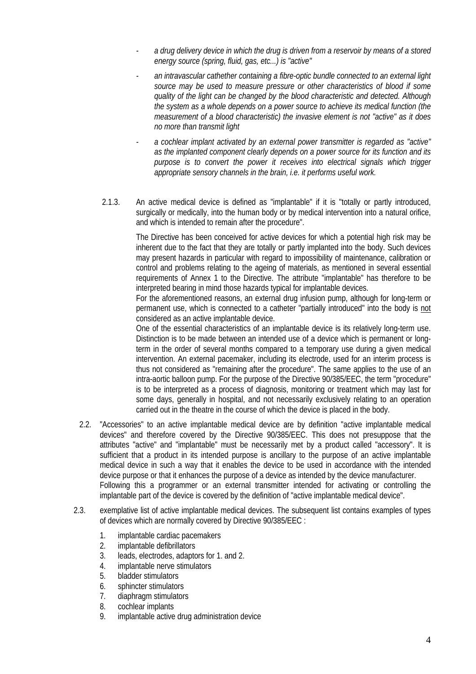- *a drug delivery device in which the drug is driven from a reservoir by means of a stored energy source (spring, fluid, gas, etc...) is "active"*
- *an intravascular cathether containing a fibre-optic bundle connected to an external light source may be used to measure pressure or other characteristics of blood if some quality of the light can be changed by the blood characteristic and detected. Although the system as a whole depends on a power source to achieve its medical function (the measurement of a blood characteristic) the invasive element is not "active" as it does no more than transmit light*
- *a cochlear implant activated by an external power transmitter is regarded as "active" as the implanted component clearly depends on a power source for its function and its purpose is to convert the power it receives into electrical signals which trigger appropriate sensory channels in the brain, i.e. it performs useful work.*
- 2.1.3. An active medical device is defined as "implantable" if it is "totally or partly introduced, surgically or medically, into the human body or by medical intervention into a natural orifice, and which is intended to remain after the procedure".

The Directive has been conceived for active devices for which a potential high risk may be inherent due to the fact that they are totally or partly implanted into the body. Such devices may present hazards in particular with regard to impossibility of maintenance, calibration or control and problems relating to the ageing of materials, as mentioned in several essential requirements of Annex 1 to the Directive. The attribute "implantable" has therefore to be interpreted bearing in mind those hazards typical for implantable devices.

For the aforementioned reasons, an external drug infusion pump, although for long-term or permanent use, which is connected to a catheter "partially introduced" into the body is not considered as an active implantable device.

One of the essential characteristics of an implantable device is its relatively long-term use. Distinction is to be made between an intended use of a device which is permanent or longterm in the order of several months compared to a temporary use during a given medical intervention. An external pacemaker, including its electrode, used for an interim process is thus not considered as "remaining after the procedure". The same applies to the use of an intra-aortic balloon pump. For the purpose of the Directive 90/385/EEC, the term "procedure" is to be interpreted as a process of diagnosis, monitoring or treatment which may last for some days, generally in hospital, and not necessarily exclusively relating to an operation carried out in the theatre in the course of which the device is placed in the body.

- 2.2. "Accessories" to an active implantable medical device are by definition "active implantable medical devices" and therefore covered by the Directive 90/385/EEC. This does not presuppose that the attributes "active" and "implantable" must be necessarily met by a product called "accessory". It is sufficient that a product in its intended purpose is ancillary to the purpose of an active implantable medical device in such a way that it enables the device to be used in accordance with the intended device purpose or that it enhances the purpose of a device as intended by the device manufacturer. Following this a programmer or an external transmitter intended for activating or controlling the implantable part of the device is covered by the definition of "active implantable medical device".
- 2.3. exemplative list of active implantable medical devices. The subsequent list contains examples of types of devices which are normally covered by Directive 90/385/EEC :
	- 1. implantable cardiac pacemakers
	- 2. implantable defibrillators
	- 3. leads, electrodes, adaptors for 1. and 2.
	- 4. implantable nerve stimulators
	- 5. bladder stimulators
	- 6. sphincter stimulators
	- 7. diaphragm stimulators
	- 8. cochlear implants
	- 9. implantable active drug administration device